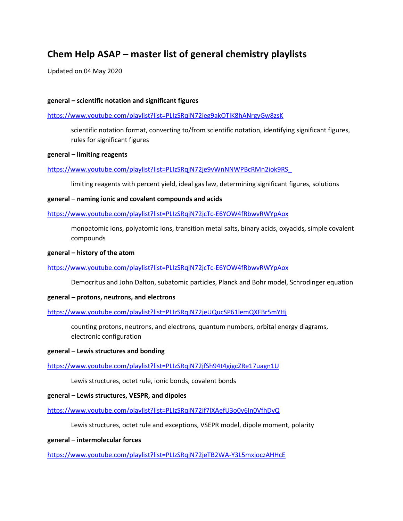# **Chem Help ASAP – master list of general chemistry playlists**

Updated on 04 May 2020

## **general – scientific notation and significant figures**

## <https://www.youtube.com/playlist?list=PLIzSRqjN72jeg9akOTlK8hANrgyGw8zsK>

scientific notation format, converting to/from scientific notation, identifying significant figures, rules for significant figures

#### **general – limiting reagents**

## [https://www.youtube.com/playlist?list=PLIzSRqjN72je9vWnNNWPBcRMn2iok9RS\\_](https://www.youtube.com/playlist?list=PLIzSRqjN72je9vWnNNWPBcRMn2iok9RS_)

limiting reagents with percent yield, ideal gas law, determining significant figures, solutions

#### **general – naming ionic and covalent compounds and acids**

## <https://www.youtube.com/playlist?list=PLIzSRqjN72jcTc-E6YOW4fRbwvRWYpAox>

monoatomic ions, polyatomic ions, transition metal salts, binary acids, oxyacids, simple covalent compounds

#### **general – history of the atom**

#### <https://www.youtube.com/playlist?list=PLIzSRqjN72jcTc-E6YOW4fRbwvRWYpAox>

Democritus and John Dalton, subatomic particles, Planck and Bohr model, Schrodinger equation

#### **general – protons, neutrons, and electrons**

#### <https://www.youtube.com/playlist?list=PLIzSRqjN72jeUQucSP61lemQXFBr5mYHj>

counting protons, neutrons, and electrons, quantum numbers, orbital energy diagrams, electronic configuration

#### **general – Lewis structures and bonding**

# <https://www.youtube.com/playlist?list=PLIzSRqjN72jfSh94t4gigcZRe17uagn1U>

Lewis structures, octet rule, ionic bonds, covalent bonds

#### **general – Lewis structures, VESPR, and dipoles**

# <https://www.youtube.com/playlist?list=PLIzSRqjN72jf7lXAefU3o0y6In0VfhDyQ>

Lewis structures, octet rule and exceptions, VSEPR model, dipole moment, polarity

#### **general – intermolecular forces**

<https://www.youtube.com/playlist?list=PLIzSRqjN72jeTB2WA-Y3L5mxjoczAHHcE>